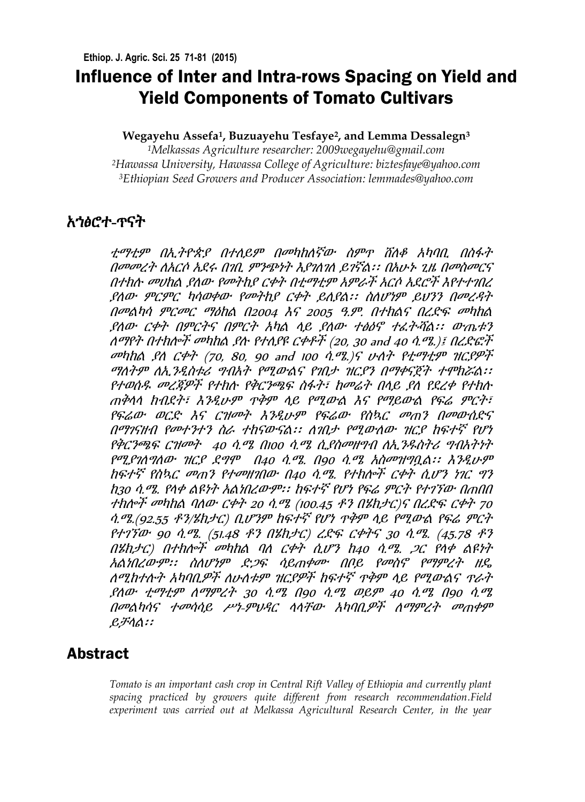# Influence of Inter and Intra-rows Spacing on Yield and Yield Components of Tomato Cultivars

### **Wegayehu Assefa<sup>1</sup> , Buzuayehu Tesfaye<sup>2</sup> , and Lemma Dessalegn<sup>3</sup>**

*<sup>1</sup>Melkassas Agriculture researcher: 2009wegayehu@gmail.com <sup>2</sup>Hawassa University, Hawassa College of Agriculture: biztesfaye@yahoo.com <sup>3</sup>Ethiopian Seed Growers and Producer Association: [lemmades@yahoo.com](mailto:lemmades@yahoo.com)*

## አኀፅሮተ-ጥናት

ቲማቲም በኢትዮጵያ በተለይም በመካከለኛው ስምጥ ሸለቆ አካባቢ በስፋት በመመረት ለአርሶ አደሩ በገቢ ምንጭነት እያገለገለ ይገኛል፡፡ በአሁኑ ጊዜ በመስመርና በተክሉ መሀከል ያለው የመትከያ ርቀት በቲማቲም አምራች አርሶ ኢደሮች እየተተገበረ ያለው ምርምር ካሳወቀው የመትከያ ርቀት ይሊያል፡፡ ስለሆነም ይህንን በመረዳት በመልካሳ ምርመር ማዕከል በ2004 እና 2005 ዓ.ም. በተክልና በረዴፍ መካከል ያለው ርቀት በምርትና በምርት አካል ላይ ያለው ተፅዕኖ ተፈትቭል፡፡ ውጤቱን ለማየት በተከሎች መካከል ያሉ የተለያዩ ርቀቶች (20, 30 and 40 ሳ.ሜ.)፤ በረድፎች መካከል ያለ ርቀት (70, 80, 90 and 100  $\hat{q}$ .ሜ.)ና ሁለት የቲማቲም ዝርያዎች ማሇትም ሇኢንዱስቱሪ ግብአት የሚውልና የገበታ ዝርያን በማቀናጀት ተሞክሯል፡፡ የተወሰዱ መረጃዎች የተክሉ የቅርንጫፍ ስፋት፣ ከመሬት በላይ ያለ የደረቀ የተክሉ ጠቅላላ ክብዯት፣ እንዱሁም ጥቅም ላይ የሚውል እና የማይውል የፍሬ ምርት፣ የፍሬው ወርዴ እና ርዝመት እንዱሁም የፍሬው የስኳር መጠን በመውሰዴና በማገናዘብ የመተንተን ስራ ተከናውናል፡፡ ለገበታ የሚውለው ዝርያ ከፍተኛ የሆነ የቅርንጫፍ ርዝመት 40 ሳ.ሜ በ100 ሳ.ሜ ሲያስመዘግብ ለኢንዱስትሪ ግብአትነት የሚያገለግለው ዝርያ ደግሞ በ40 ሳ.ሜ. በ90 ሳ.ሜ አስመዝግቧል፡፡ እንዲሁም ከፍተኛ የስኳር መጠን የተመዘገበው በ40 ሳ.ሜ. የተክሎች ርቀት ሲሆን ነገር ግን ከ30 ሳ.ሜ. የላቀ ልዩነት አልነበረውም፡፡ ከፍተኛ የሆነ የፍሬ ምርት የተገኘው በጠበበ ተክሎች መካከል ባለው ርቀት 20 ሳ.ሜ (100.45 ቶን በሄክታር)ና በረድፍ ርቀት 70 ሳ.ሜ.(92.55 ቶን/ሄክታር) ቢሆንም ከፍተኛ የሆነ ጥቅም ላይ የሚውል የፍሬ ምርት የተገኘው 90 ሳ.ሜ. (51.48 ቶን በሄክታር) ረዴፍ ርቀትና 30 ሳ.ሜ. (45.78 ቶን በሄክታር) በተክሎች መካከል ባለ ርቀት ሲሆን ከ40 ሳ.ሜ. ጋር የላቀ ልዩነት አልነበረውም፡፡ ስሇሆነም ዴጋፍ ሳይጠቀሙ በቦይ የመስኖ የማምረት ዘዳ ሇሚከተለት አካባቢዎች ሇሁሇቱም ዝርያዎች ከፍተኛ ጥቅም ላይ የሚውልና ጥራት ያሇው ቲማቲም ሇማምረት 30 ሳ.ሜ በ90 ሳ.ሜ ወይም 40 ሳ.ሜ በ90 ሳ.ሜ በመልካሳና ተመሳሳይ ሥነ-ምህዳር ላላቸው አካባቢዎች ለማምረት መጠቀም ይቻላል፡፡

## Abstract

*Tomato is an important cash crop in Central Rift Valley of Ethiopia and currently plant spacing practiced by growers quite different from research recommendation.Field*  experiment was carried out at Melkassa Agricultural Research Center, in the year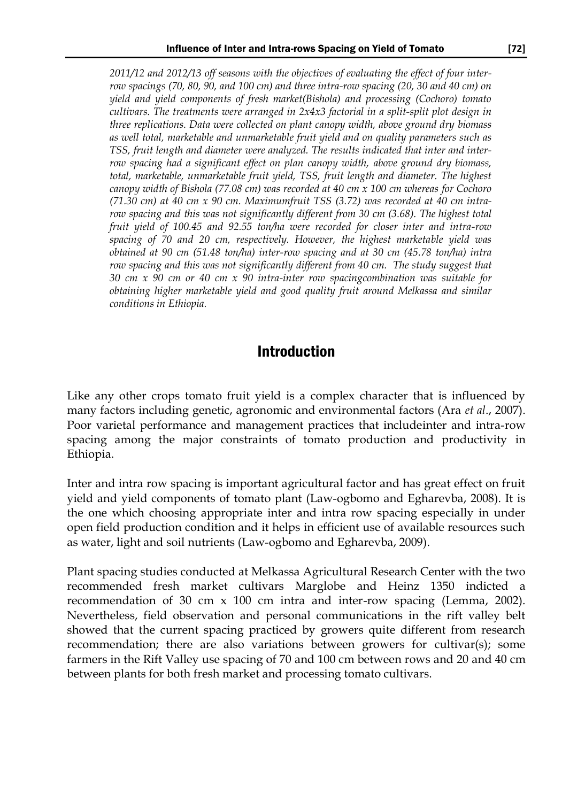*2011/12 and 2012/13 off seasons with the objectives of evaluating the effect of four interrow spacings (70, 80, 90, and 100 cm) and three intra-row spacing (20, 30 and 40 cm) on yield and yield components of fresh market(Bishola) and processing (Cochoro) tomato cultivars. The treatments were arranged in 2x4x3 factorial in a split-split plot design in three replications. Data were collected on plant canopy width, above ground dry biomass as well total, marketable and unmarketable fruit yield and on quality parameters such as TSS, fruit length and diameter were analyzed. The results indicated that inter and interrow spacing had a significant effect on plan canopy width, above ground dry biomass, total, marketable, unmarketable fruit yield, TSS, fruit length and diameter. The highest canopy width of Bishola (77.08 cm) was recorded at 40 cm x 100 cm whereas for Cochoro (71.30 cm) at 40 cm x 90 cm. Maximumfruit TSS (3.72) was recorded at 40 cm intrarow spacing and this was not significantly different from 30 cm (3.68). The highest total fruit yield of 100.45 and 92.55 ton/ha were recorded for closer inter and intra-row spacing of 70 and 20 cm, respectively. However, the highest marketable yield was obtained at 90 cm (51.48 ton/ha) inter-row spacing and at 30 cm (45.78 ton/ha) intra row spacing and this was not significantly different from 40 cm. The study suggest that 30 cm x 90 cm or 40 cm x 90 intra-inter row spacingcombination was suitable for obtaining higher marketable yield and good quality fruit around Melkassa and similar conditions in Ethiopia.*

### Introduction

Like any other crops tomato fruit yield is a complex character that is influenced by many factors including genetic, agronomic and environmental factors (Ara *et al*., 2007). Poor varietal performance and management practices that includeinter and intra-row spacing among the major constraints of tomato production and productivity in Ethiopia.

Inter and intra row spacing is important agricultural factor and has great effect on fruit yield and yield components of tomato plant (Law-ogbomo and Egharevba, 2008). It is the one which choosing appropriate inter and intra row spacing especially in under open field production condition and it helps in efficient use of available resources such as water, light and soil nutrients (Law-ogbomo and Egharevba, 2009).

Plant spacing studies conducted at Melkassa Agricultural Research Center with the two recommended fresh market cultivars Marglobe and Heinz 1350 indicted a recommendation of 30 cm x 100 cm intra and inter-row spacing (Lemma, 2002). Nevertheless, field observation and personal communications in the rift valley belt showed that the current spacing practiced by growers quite different from research recommendation; there are also variations between growers for cultivar(s); some farmers in the Rift Valley use spacing of 70 and 100 cm between rows and 20 and 40 cm between plants for both fresh market and processing tomato cultivars.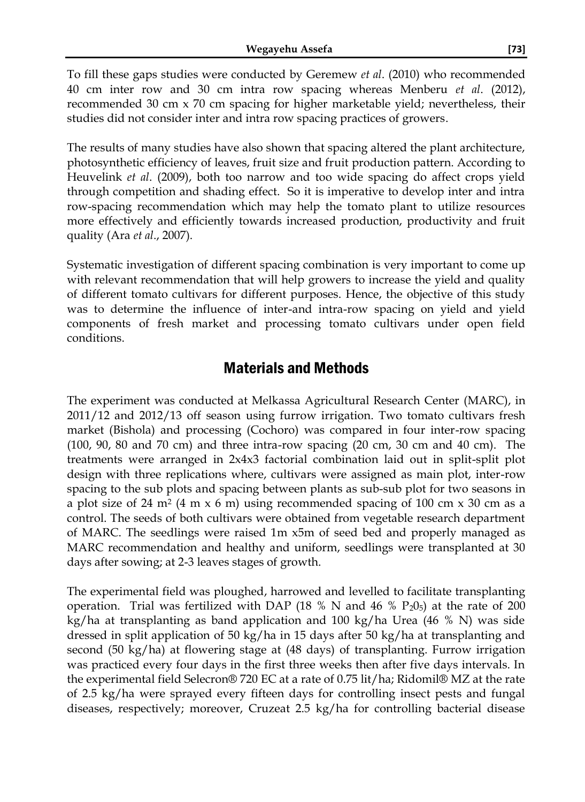To fill these gaps studies were conducted by Geremew *et al*. (2010) who recommended 40 cm inter row and 30 cm intra row spacing whereas Menberu *et al*. (2012), recommended 30 cm x 70 cm spacing for higher marketable yield; nevertheless, their studies did not consider inter and intra row spacing practices of growers.

The results of many studies have also shown that spacing altered the plant architecture, photosynthetic efficiency of leaves, fruit size and fruit production pattern. According to Heuvelink *et al*. (2009), both too narrow and too wide spacing do affect crops yield through competition and shading effect. So it is imperative to develop inter and intra row-spacing recommendation which may help the tomato plant to utilize resources more effectively and efficiently towards increased production, productivity and fruit quality (Ara *et al*., 2007).

Systematic investigation of different spacing combination is very important to come up with relevant recommendation that will help growers to increase the yield and quality of different tomato cultivars for different purposes. Hence, the objective of this study was to determine the influence of inter-and intra-row spacing on yield and yield components of fresh market and processing tomato cultivars under open field conditions.

## Materials and Methods

The experiment was conducted at Melkassa Agricultural Research Center (MARC), in 2011/12 and 2012/13 off season using furrow irrigation. Two tomato cultivars fresh market (Bishola) and processing (Cochoro) was compared in four inter-row spacing  $(100, 90, 80$  and  $70$  cm) and three intra-row spacing  $(20 \text{ cm}, 30 \text{ cm}$  and  $40 \text{ cm})$ . The treatments were arranged in 2x4x3 factorial combination laid out in split-split plot design with three replications where, cultivars were assigned as main plot, inter-row spacing to the sub plots and spacing between plants as sub-sub plot for two seasons in a plot size of 24 m<sup>2</sup> (4 m x 6 m) using recommended spacing of 100 cm x 30 cm as a control. The seeds of both cultivars were obtained from vegetable research department of MARC. The seedlings were raised 1m x5m of seed bed and properly managed as MARC recommendation and healthy and uniform, seedlings were transplanted at 30 days after sowing; at 2-3 leaves stages of growth.

The experimental field was ploughed, harrowed and levelled to facilitate transplanting operation. Trial was fertilized with DAP (18 % N and 46 %  $P_2O_5$ ) at the rate of 200 kg/ha at transplanting as band application and 100 kg/ha Urea (46 % N) was side dressed in split application of 50 kg/ha in 15 days after 50 kg/ha at transplanting and second (50 kg/ha) at flowering stage at (48 days) of transplanting. Furrow irrigation was practiced every four days in the first three weeks then after five days intervals. In the experimental field Selecron® 720 EC at a rate of 0.75 lit/ha; Ridomil® MZ at the rate of 2.5 kg/ha were sprayed every fifteen days for controlling insect pests and fungal diseases, respectively; moreover, Cruzeat 2.5 kg/ha for controlling bacterial disease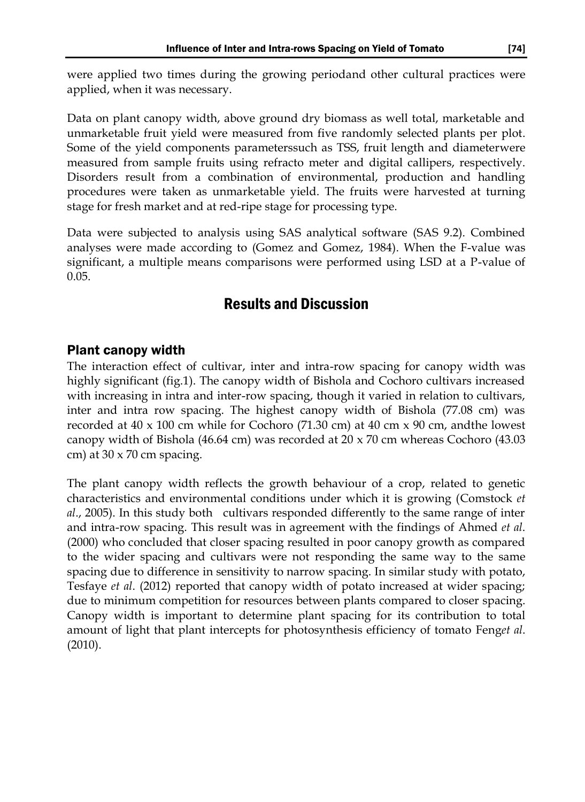were applied two times during the growing periodand other cultural practices were applied, when it was necessary.

Data on plant canopy width, above ground dry biomass as well total, marketable and unmarketable fruit yield were measured from five randomly selected plants per plot. Some of the yield components parameterssuch as TSS, fruit length and diameterwere measured from sample fruits using refracto meter and digital callipers, respectively. Disorders result from a combination of environmental, production and handling procedures were taken as unmarketable yield. The fruits were harvested at turning stage for fresh market and at red-ripe stage for processing type.

Data were subjected to analysis using SAS analytical software (SAS 9.2). Combined analyses were made according to (Gomez and Gomez, 1984). When the F-value was significant, a multiple means comparisons were performed using LSD at a P-value of 0.05.

## Results and Discussion

### Plant canopy width

The interaction effect of cultivar, inter and intra-row spacing for canopy width was highly significant (fig.1). The canopy width of Bishola and Cochoro cultivars increased with increasing in intra and inter-row spacing, though it varied in relation to cultivars, inter and intra row spacing. The highest canopy width of Bishola (77.08 cm) was recorded at 40 x 100 cm while for Cochoro (71.30 cm) at 40 cm x 90 cm, andthe lowest canopy width of Bishola (46.64 cm) was recorded at 20 x 70 cm whereas Cochoro (43.03 cm) at 30 x 70 cm spacing.

The plant canopy width reflects the growth behaviour of a crop, related to genetic characteristics and environmental conditions under which it is growing (Comstock *et al*., 2005). In this study both cultivars responded differently to the same range of inter and intra-row spacing. This result was in agreement with the findings of [Ahmed](http://scialert.net/fulltext/?doi=ijar.2012.255.265&org=10#947037_ja) *et al*. [\(2000\)](http://scialert.net/fulltext/?doi=ijar.2012.255.265&org=10#947037_ja) who concluded that closer spacing resulted in poor canopy growth as compared to the wider spacing and cultivars were not responding the same way to the same spacing due to difference in sensitivity to narrow spacing. In similar study with potato, [Tesfaye](http://scialert.net/fulltext/?doi=ijar.2012.255.265&org=10#947064_ja) *et al*. (2012) reported that canopy width of potato increased at wider spacing; due to minimum competition for resources between plants compared to closer spacing. Canopy width is important to determine plant spacing for its contribution to total amount of light that plant intercepts for photosynthesis efficiency of tomato Feng*et al*. (2010).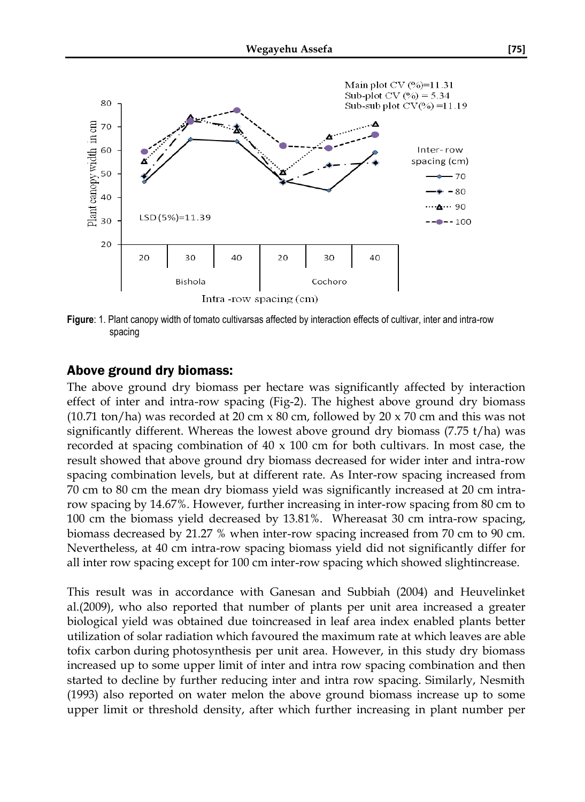

**Figure**: 1. Plant canopy width of tomato cultivarsas affected by interaction effects of cultivar, inter and intra-row spacing

#### Above ground dry biomass:

The above ground dry biomass per hectare was significantly affected by interaction effect of inter and intra-row spacing (Fig-2). The highest above ground dry biomass (10.71 ton/ha) was recorded at 20 cm  $x$  80 cm, followed by 20  $x$  70 cm and this was not significantly different. Whereas the lowest above ground dry biomass (7.75 t/ha) was recorded at spacing combination of  $40 \times 100$  cm for both cultivars. In most case, the result showed that above ground dry biomass decreased for wider inter and intra-row spacing combination levels, but at different rate. As Inter-row spacing increased from 70 cm to 80 cm the mean dry biomass yield was significantly increased at 20 cm intrarow spacing by 14.67%. However, further increasing in inter-row spacing from 80 cm to 100 cm the biomass yield decreased by 13.81%. Whereasat 30 cm intra-row spacing, biomass decreased by 21.27 % when inter-row spacing increased from 70 cm to 90 cm. Nevertheless, at 40 cm intra-row spacing biomass yield did not significantly differ for all inter row spacing except for 100 cm inter-row spacing which showed slightincrease.

This result was in accordance with Ganesan and Subbiah (2004) and Heuvelinket al.(2009), who also reported that number of plants per unit area increased a greater biological yield was obtained due toincreased in leaf area index enabled plants better utilization of solar radiation which favoured the maximum rate at which leaves are able t[ofix carbon](http://en.wikipedia.org/wiki/Carbon_fixation) during [photosynthesis](http://en.wikipedia.org/wiki/Photosynthesis) per unit area. However, in this study dry biomass increased up to some upper limit of inter and intra row spacing combination and then started to decline by further reducing inter and intra row spacing. Similarly, Nesmith (1993) also reported on water melon the above ground biomass increase up to some upper limit or threshold density, after which further increasing in plant number per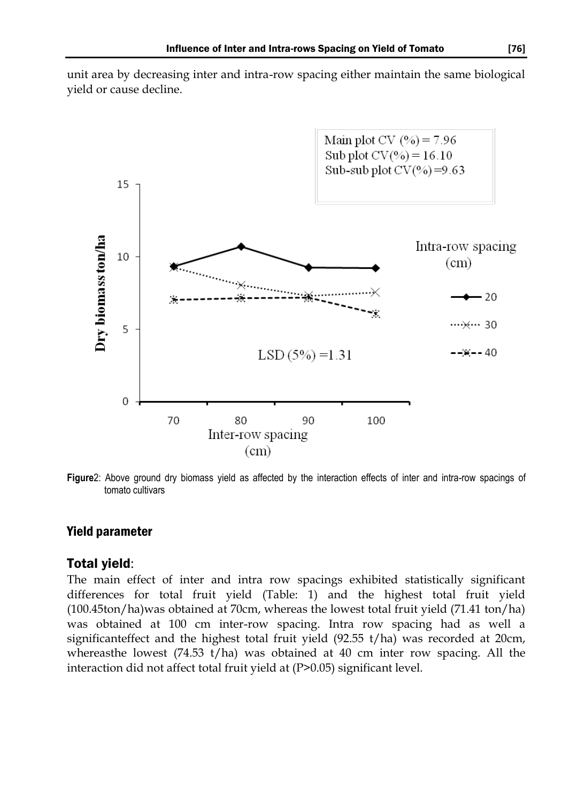unit area by decreasing inter and intra-row spacing either maintain the same biological yield or cause decline.



**Figure**2: Above ground dry biomass yield as affected by the interaction effects of inter and intra-row spacings of tomato cultivars

#### Yield parameter

#### Total yield:

The main effect of inter and intra row spacings exhibited statistically significant differences for total fruit yield (Table: 1) and the highest total fruit yield (100.45ton/ha)was obtained at 70cm, whereas the lowest total fruit yield (71.41 ton/ha) was obtained at 100 cm inter-row spacing. Intra row spacing had as well a significanteffect and the highest total fruit yield (92.55 t/ha) was recorded at 20cm, whereasthe lowest  $(74.53 \t{t/ha})$  was obtained at 40 cm inter row spacing. All the interaction did not affect total fruit yield at (P>0.05) significant level.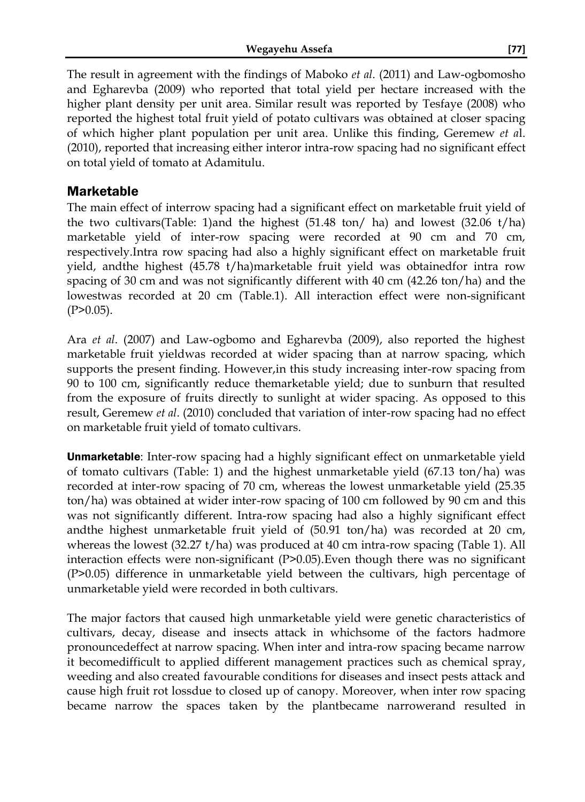The result in agreement with the findings of Maboko *et al*. (2011) and Law-ogbomosho and Egharevba (2009) who reported that total yield per hectare increased with the higher plant density per unit area. Similar result was reported by Tesfaye (2008) who reported the highest total fruit yield of potato cultivars was obtained at closer spacing of which higher plant population per unit area. Unlike this finding, Geremew *et a*l. (2010), reported that increasing either interor intra-row spacing had no significant effect on total yield of tomato at Adamitulu.

### Marketable

The main effect of interrow spacing had a significant effect on marketable fruit yield of the two cultivars(Table: 1)and the highest (51.48 ton/ ha) and lowest (32.06 t/ha) marketable yield of inter-row spacing were recorded at 90 cm and 70 cm, respectively.Intra row spacing had also a highly significant effect on marketable fruit yield, andthe highest (45.78 t/ha)marketable fruit yield was obtainedfor intra row spacing of 30 cm and was not significantly different with 40 cm (42.26 ton/ha) and the lowestwas recorded at 20 cm (Table.1). All interaction effect were non-significant  $(P>0.05)$ .

Ara *et al*. (2007) and Law-ogbomo and Egharevba (2009), also reported the highest marketable fruit yieldwas recorded at wider spacing than at narrow spacing, which supports the present finding. However,in this study increasing inter-row spacing from 90 to 100 cm, significantly reduce themarketable yield; due to sunburn that resulted from the exposure of fruits directly to sunlight at wider spacing. As opposed to this result, Geremew *et al*. (2010) concluded that variation of inter-row spacing had no effect on marketable fruit yield of tomato cultivars.

**Unmarketable:** Inter-row spacing had a highly significant effect on unmarketable yield of tomato cultivars (Table: 1) and the highest unmarketable yield (67.13 ton/ha) was recorded at inter-row spacing of 70 cm, whereas the lowest unmarketable yield (25.35 ton/ha) was obtained at wider inter-row spacing of 100 cm followed by 90 cm and this was not significantly different. Intra-row spacing had also a highly significant effect andthe highest unmarketable fruit yield of (50.91 ton/ha) was recorded at 20 cm, whereas the lowest (32.27 t/ha) was produced at 40 cm intra-row spacing (Table 1). All interaction effects were non-significant (P>0.05).Even though there was no significant (P>0.05) difference in unmarketable yield between the cultivars, high percentage of unmarketable yield were recorded in both cultivars.

The major factors that caused high unmarketable yield were genetic characteristics of cultivars, decay, disease and insects attack in whichsome of the factors hadmore pronouncedeffect at narrow spacing. When inter and intra-row spacing became narrow it becomedifficult to applied different management practices such as chemical spray, weeding and also created favourable conditions for diseases and insect pests attack and cause high fruit rot lossdue to closed up of canopy. Moreover, when inter row spacing became narrow the spaces taken by the plantbecame narrowerand resulted in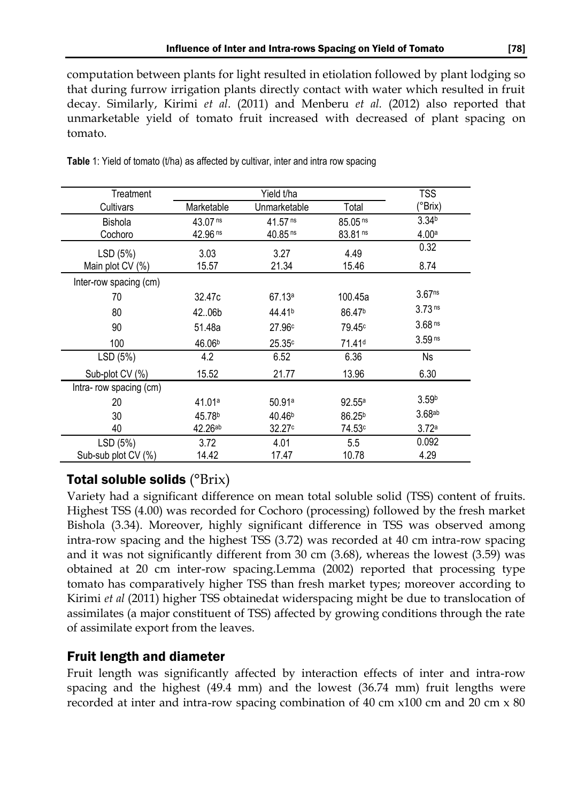computation between plants for light resulted in etiolation followed by plant lodging so that during furrow irrigation plants directly contact with water which resulted in fruit decay. Similarly, Kirimi *et al*. (2011) and Menberu *et al.* (2012) also reported that unmarketable yield of tomato fruit increased with decreased of plant spacing on tomato.

| Treatment              | Yield t/ha            |                       |                       | TSS                |
|------------------------|-----------------------|-----------------------|-----------------------|--------------------|
| Cultivars              | Marketable            | Unmarketable          | Total                 | (°Brix)            |
| <b>Bishola</b>         | 43.07 <sup>ns</sup>   | $41.57$ <sup>ns</sup> | $85.05$ <sup>ns</sup> | 3.34 <sup>b</sup>  |
| Cochoro                | $42.96$ <sup>ns</sup> | $40.85$ <sup>ns</sup> | $83.81$ <sup>ns</sup> | 4.00a              |
| LSD (5%)               | 3.03                  | 3.27                  | 4.49                  | 0.32               |
| Main plot CV (%)       | 15.57                 | 21.34                 | 15.46                 | 8.74               |
| Inter-row spacing (cm) |                       |                       |                       |                    |
| 70                     | 32.47c                | 67.13a                | 100.45a               | 3.67 <sub>ns</sub> |
| 80                     | 42.06b                | 44.41 <sup>b</sup>    | 86.47 <sup>b</sup>    | 3.73 <sup>ns</sup> |
| 90                     | 51.48a                | 27.96c                | 79.45 <sup>c</sup>    | 3.68 <sup>ns</sup> |
| 100                    | 46.06 <sup>b</sup>    | 25.35c                | 71.41 <sup>d</sup>    | 3.59 <sup>ns</sup> |
| LSD (5%)               | 4.2                   | 6.52                  | 6.36                  | <b>Ns</b>          |
| Sub-plot CV (%)        | 15.52                 | 21.77                 | 13.96                 | 6.30               |
| Intra-row spacing (cm) |                       |                       |                       |                    |
| 20                     | 41.01ª                | 50.91a                | 92.55a                | 3.59 <sup>b</sup>  |
| 30                     | 45.78 <sup>b</sup>    | 40.46 <sup>b</sup>    | $86.25^{b}$           | 3.68ab             |
| 40                     | $42.26^{ab}$          | 32.27c                | 74.53c                | 3.72a              |
| LSD (5%)               | 3.72                  | 4.01                  | 5.5                   | 0.092              |
| Sub-sub plot CV (%)    | 14.42                 | 17.47                 | 10.78                 | 4.29               |

**Table** 1: Yield of tomato (t/ha) as affected by cultivar, inter and intra row spacing

## Total soluble solids  $(^{\circ}Brix)$

Variety had a significant difference on mean total soluble solid (TSS) content of fruits. Highest TSS (4.00) was recorded for Cochoro (processing) followed by the fresh market Bishola (3.34). Moreover, highly significant difference in TSS was observed among intra-row spacing and the highest TSS (3.72) was recorded at 40 cm intra-row spacing and it was not significantly different from 30 cm (3.68), whereas the lowest (3.59) was obtained at 20 cm inter-row spacing.Lemma (2002) reported that processing type tomato has comparatively higher TSS than fresh market types; moreover according to Kirimi *et al* (2011) higher TSS obtainedat widerspacing might be due to translocation of assimilates (a major constituent of TSS) affected by growing conditions through the rate of assimilate export from the leaves.

## Fruit length and diameter

Fruit length was significantly affected by interaction effects of inter and intra-row spacing and the highest (49.4 mm) and the lowest (36.74 mm) fruit lengths were recorded at inter and intra-row spacing combination of 40 cm x100 cm and 20 cm x 80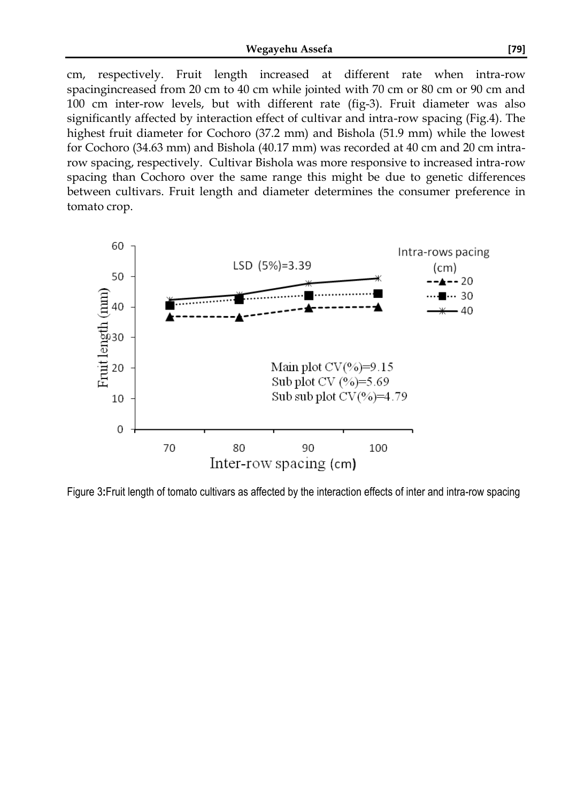cm, respectively. Fruit length increased at different rate when intra-row spacingincreased from 20 cm to 40 cm while jointed with 70 cm or 80 cm or 90 cm and 100 cm inter-row levels, but with different rate (fig-3). Fruit diameter was also significantly affected by interaction effect of cultivar and intra-row spacing (Fig.4). The highest fruit diameter for Cochoro (37.2 mm) and Bishola (51.9 mm) while the lowest for Cochoro (34.63 mm) and Bishola (40.17 mm) was recorded at 40 cm and 20 cm intrarow spacing, respectively. Cultivar Bishola was more responsive to increased intra-row spacing than Cochoro over the same range this might be due to genetic differences between cultivars. Fruit length and diameter determines the consumer preference in tomato crop.



Figure 3**:**Fruit length of tomato cultivars as affected by the interaction effects of inter and intra-row spacing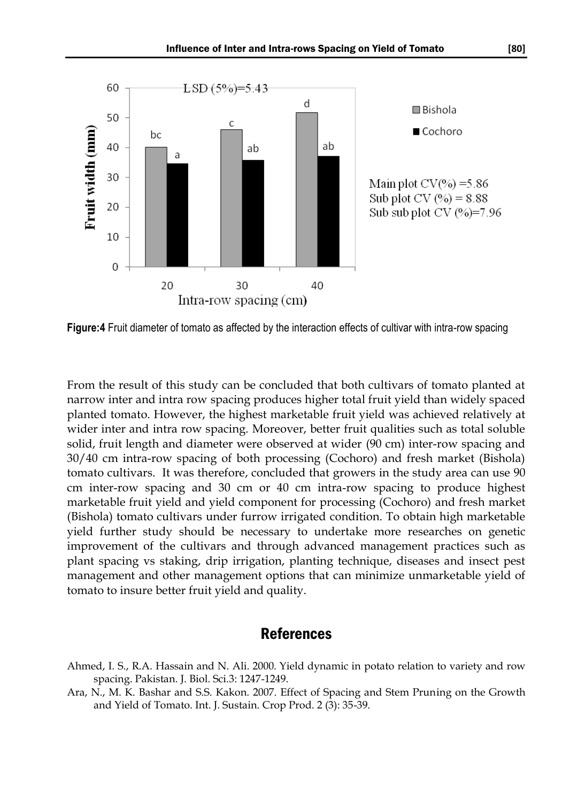

**Figure:4** Fruit diameter of tomato as affected by the interaction effects of cultivar with intra-row spacing

From the result of this study can be concluded that both cultivars of tomato planted at narrow inter and intra row spacing produces higher total fruit yield than widely spaced planted tomato. However, the highest marketable fruit yield was achieved relatively at wider inter and intra row spacing. Moreover, better fruit qualities such as total soluble solid, fruit length and diameter were observed at wider (90 cm) inter-row spacing and 30/40 cm intra-row spacing of both processing (Cochoro) and fresh market (Bishola) tomato cultivars. It was therefore, concluded that growers in the study area can use 90 cm inter-row spacing and 30 cm or 40 cm intra-row spacing to produce highest marketable fruit yield and yield component for processing (Cochoro) and fresh market (Bishola) tomato cultivars under furrow irrigated condition. To obtain high marketable yield further study should be necessary to undertake more researches on genetic improvement of the cultivars and through advanced management practices such as plant spacing vs staking, drip irrigation, planting technique, diseases and insect pest management and other management options that can minimize unmarketable yield of tomato to insure better fruit yield and quality.

### References

- Ahmed, I. S., R.A. Hassain and N. Ali. 2000. Yield dynamic in potato relation to variety and row spacing. Pakistan. J. Biol. Sci.3: 1247-1249.
- Ara, N., M. K. Bashar and S.S. Kakon. 2007. Effect of Spacing and Stem Pruning on the Growth and Yield of Tomato. Int. J. Sustain. Crop Prod. 2 (3): 35-39.